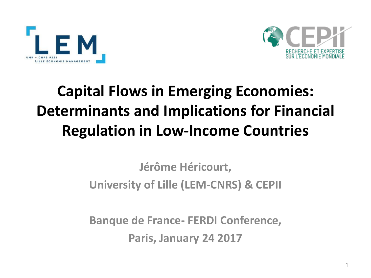



# **Capital Flows in Emerging Economies: Determinants and Implications for Financial Regulation in Low-Income Countries**

#### **Jérôme Héricourt, University of Lille (LEM-CNRS) & CEPII**

**Banque de France- FERDI Conference, Paris, January 24 2017**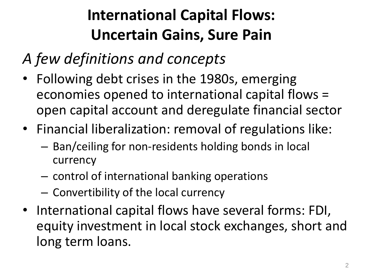# **International Capital Flows: Uncertain Gains, Sure Pain**

- *A few definitions and concepts*
- Following debt crises in the 1980s, emerging economies opened to international capital flows = open capital account and deregulate financial sector
- Financial liberalization: removal of regulations like:
	- Ban/ceiling for non-residents holding bonds in local currency
	- control of international banking operations
	- Convertibility of the local currency
- International capital flows have several forms: FDI, equity investment in local stock exchanges, short and long term loans.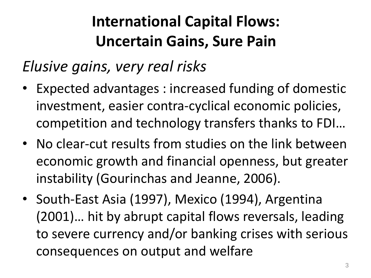# **International Capital Flows: Uncertain Gains, Sure Pain**

#### *Elusive gains, very real risks*

- Expected advantages : increased funding of domestic investment, easier contra-cyclical economic policies, competition and technology transfers thanks to FDI…
- No clear-cut results from studies on the link between economic growth and financial openness, but greater instability (Gourinchas and Jeanne, 2006).
- South-East Asia (1997), Mexico (1994), Argentina (2001)… hit by abrupt capital flows reversals, leading to severe currency and/or banking crises with serious consequences on output and welfare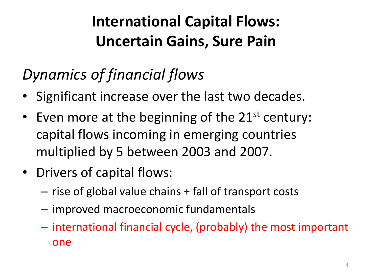# **International Capital Flows: Uncertain Gains, Sure Pain**

# *Dynamics of financial flows*

- Significant increase over the last two decades.
- Even more at the beginning of the  $21^{st}$  century: capital flows incoming in emerging countries multiplied by 5 between 2003 and 2007.
- Drivers of capital flows:
	- rise of global value chains + fall of transport costs
	- improved macroeconomic fundamentals
	- international financial cycle, (probably) the most important one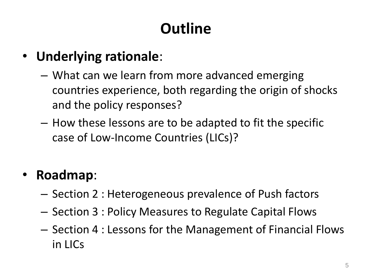# **Outline**

#### • **Underlying rationale**:

- What can we learn from more advanced emerging countries experience, both regarding the origin of shocks and the policy responses?
- How these lessons are to be adapted to fit the specific case of Low-Income Countries (LICs)?

#### • **Roadmap**:

- Section 2 : Heterogeneous prevalence of Push factors
- Section 3 : Policy Measures to Regulate Capital Flows
- Section 4 : Lessons for the Management of Financial Flows in LICs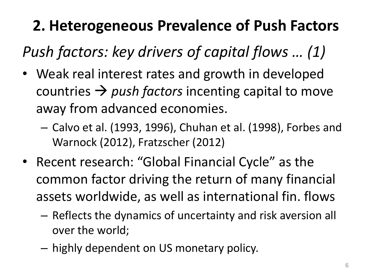*Push factors: key drivers of capital flows … (1)* 

- Weak real interest rates and growth in developed countries  $\rightarrow$  push factors incenting capital to move away from advanced economies.
	- Calvo et al. (1993, 1996), Chuhan et al. (1998), Forbes and Warnock (2012), Fratzscher (2012)
- Recent research: "Global Financial Cycle" as the common factor driving the return of many financial assets worldwide, as well as international fin. flows
	- Reflects the dynamics of uncertainty and risk aversion all over the world;
	- highly dependent on US monetary policy.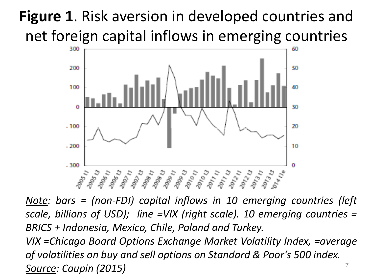# **Figure 1**. Risk aversion in developed countries and net foreign capital inflows in emerging countries



7 *Note: bars = (non-FDI) capital inflows in 10 emerging countries (left scale, billions of USD); line =VIX (right scale). 10 emerging countries = BRICS + Indonesia, Mexico, Chile, Poland and Turkey. VIX =Chicago Board Options Exchange Market Volatility Index, =average of volatilities on buy and sell options on Standard & Poor's 500 index. Source: Caupin (2015)*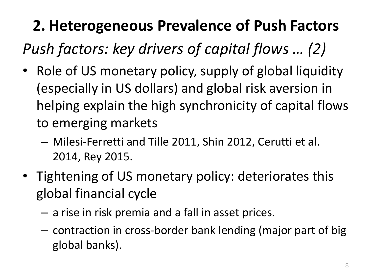*Push factors: key drivers of capital flows … (2)* 

- Role of US monetary policy, supply of global liquidity (especially in US dollars) and global risk aversion in helping explain the high synchronicity of capital flows to emerging markets
	- Milesi-Ferretti and Tille 2011, Shin 2012, Cerutti et al. 2014, Rey 2015.
- Tightening of US monetary policy: deteriorates this global financial cycle
	- a rise in risk premia and a fall in asset prices.
	- contraction in cross-border bank lending (major part of big global banks).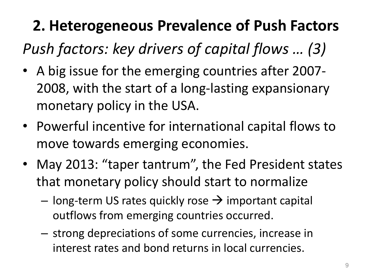*Push factors: key drivers of capital flows … (3)* 

- A big issue for the emerging countries after 2007- 2008, with the start of a long-lasting expansionary monetary policy in the USA.
- Powerful incentive for international capital flows to move towards emerging economies.
- May 2013: "taper tantrum", the Fed President states that monetary policy should start to normalize
	- $-$  long-term US rates quickly rose  $\rightarrow$  important capital outflows from emerging countries occurred.
	- strong depreciations of some currencies, increase in interest rates and bond returns in local currencies.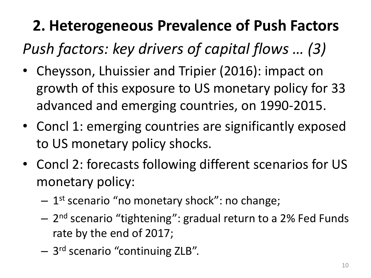*Push factors: key drivers of capital flows … (3)* 

- Cheysson, Lhuissier and Tripier (2016): impact on growth of this exposure to US monetary policy for 33 advanced and emerging countries, on 1990-2015.
- Concl 1: emerging countries are significantly exposed to US monetary policy shocks.
- Concl 2: forecasts following different scenarios for US monetary policy:
	- 1 st scenario "no monetary shock": no change;
	- 2 nd scenario "tightening": gradual return to a 2% Fed Funds rate by the end of 2017;
	- 3 rd scenario "continuing ZLB".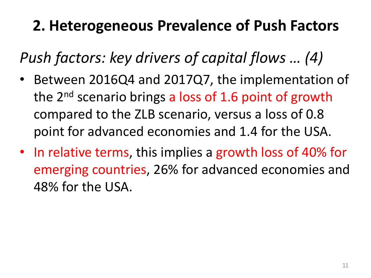*Push factors: key drivers of capital flows … (4)* 

- Between 2016Q4 and 2017Q7, the implementation of the  $2^{nd}$  scenario brings a loss of 1.6 point of growth compared to the ZLB scenario, versus a loss of 0.8 point for advanced economies and 1.4 for the USA.
- In relative terms, this implies a growth loss of 40% for emerging countries, 26% for advanced economies and 48% for the USA.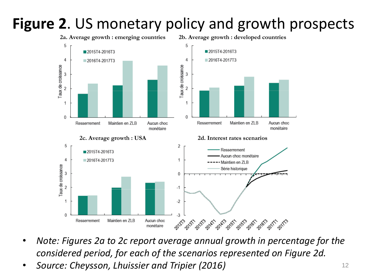#### **Figure 2**. US monetary policy and growth prospects



- *Note: Figures 2a to 2c report average annual growth in percentage for the considered period, for each of the scenarios represented on Figure 2d.*
- *Source: Cheysson, Lhuissier and Tripier (2016)* <sup>12</sup>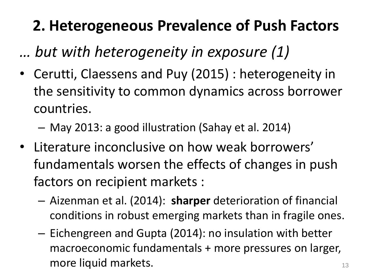*… but with heterogeneity in exposure (1)*

- Cerutti, Claessens and Puy (2015) : heterogeneity in the sensitivity to common dynamics across borrower countries.
	- May 2013: a good illustration (Sahay et al. 2014)
- Literature inconclusive on how weak borrowers' fundamentals worsen the effects of changes in push factors on recipient markets :
	- Aizenman et al. (2014): **sharper** deterioration of financial conditions in robust emerging markets than in fragile ones.
	- Eichengreen and Gupta (2014): no insulation with better macroeconomic fundamentals + more pressures on larger, more liquid markets. The same state of the state of the state of the state of the state of the state of the state of the state of the state of the state of the state of the state of the state of the state of the state of t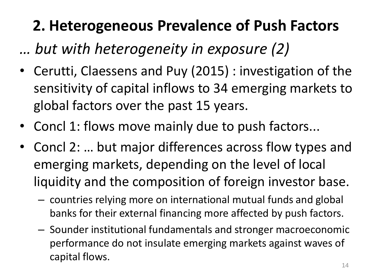*… but with heterogeneity in exposure (2)*

- Cerutti, Claessens and Puy (2015) : investigation of the sensitivity of capital inflows to 34 emerging markets to global factors over the past 15 years.
- Concl 1: flows move mainly due to push factors...
- Concl 2: ... but major differences across flow types and emerging markets, depending on the level of local liquidity and the composition of foreign investor base.
	- countries relying more on international mutual funds and global banks for their external financing more affected by push factors.
	- Sounder institutional fundamentals and stronger macroeconomic performance do not insulate emerging markets against waves of capital flows.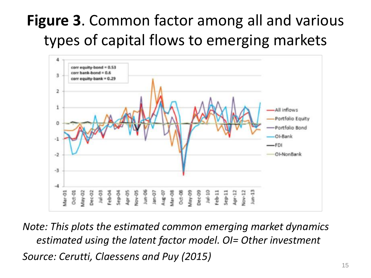# **Figure 3**. Common factor among all and various types of capital flows to emerging markets



*Note: This plots the estimated common emerging market dynamics estimated using the latent factor model. OI= Other investment Source: Cerutti, Claessens and Puy (2015)*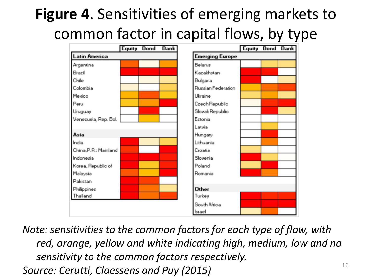# **Figure 4**. Sensitivities of emerging markets to common factor in capital flows, by type



*Note: sensitivities to the common factors for each type of flow, with red, orange, yellow and white indicating high, medium, low and no sensitivity to the common factors respectively. Source: Cerutti, Claessens and Puy (2015)* <sup>16</sup>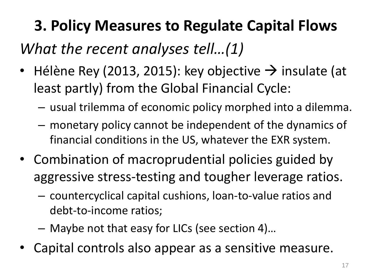*What the recent analyses tell…(1)*

- Hélène Rey (2013, 2015): key objective  $\rightarrow$  insulate (at least partly) from the Global Financial Cycle:
	- usual trilemma of economic policy morphed into a dilemma.
	- monetary policy cannot be independent of the dynamics of financial conditions in the US, whatever the EXR system.
- Combination of macroprudential policies guided by aggressive stress-testing and tougher leverage ratios.
	- countercyclical capital cushions, loan-to-value ratios and debt-to-income ratios;
	- Maybe not that easy for LICs (see section 4)…
- Capital controls also appear as a sensitive measure.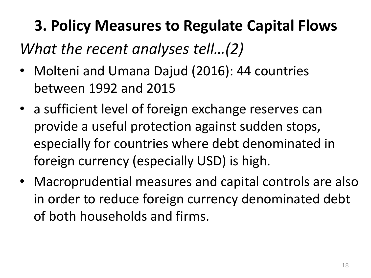#### *What the recent analyses tell…(2)*

- Molteni and Umana Dajud (2016): 44 countries between 1992 and 2015
- a sufficient level of foreign exchange reserves can provide a useful protection against sudden stops, especially for countries where debt denominated in foreign currency (especially USD) is high.
- Macroprudential measures and capital controls are also in order to reduce foreign currency denominated debt of both households and firms.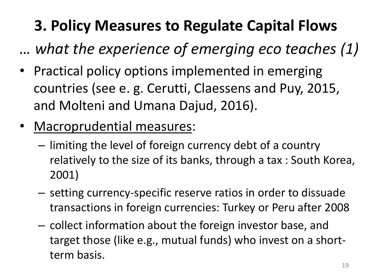*… what the experience of emerging eco teaches (1)*

- Practical policy options implemented in emerging countries (see e. g. Cerutti, Claessens and Puy, 2015, and Molteni and Umana Dajud, 2016).
- Macroprudential measures:
	- limiting the level of foreign currency debt of a country relatively to the size of its banks, through a tax : South Korea, 2001)
	- setting currency-specific reserve ratios in order to dissuade transactions in foreign currencies: Turkey or Peru after 2008
	- collect information about the foreign investor base, and target those (like e.g., mutual funds) who invest on a shortterm basis.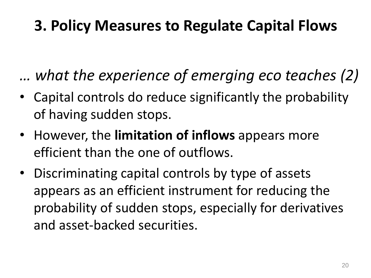*… what the experience of emerging eco teaches (2)*

- Capital controls do reduce significantly the probability of having sudden stops.
- However, the **limitation of inflows** appears more efficient than the one of outflows.
- Discriminating capital controls by type of assets appears as an efficient instrument for reducing the probability of sudden stops, especially for derivatives and asset-backed securities.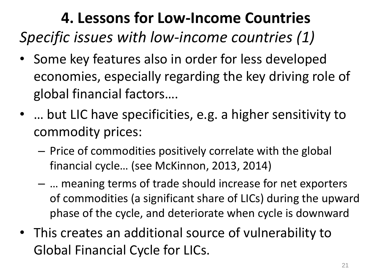## **4. Lessons for Low-Income Countries** *Specific issues with low-income countries (1)*

- Some key features also in order for less developed economies, especially regarding the key driving role of global financial factors….
- ... but LIC have specificities, e.g. a higher sensitivity to commodity prices:
	- Price of commodities positively correlate with the global financial cycle… (see McKinnon, 2013, 2014)
	- … meaning terms of trade should increase for net exporters of commodities (a significant share of LICs) during the upward phase of the cycle, and deteriorate when cycle is downward
- This creates an additional source of vulnerability to Global Financial Cycle for LICs.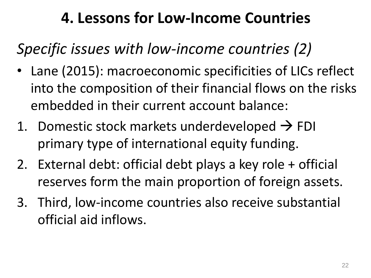### *Specific issues with low-income countries (2)*

- Lane (2015): macroeconomic specificities of LICs reflect into the composition of their financial flows on the risks embedded in their current account balance:
- 1. Domestic stock markets underdeveloped  $\rightarrow$  FDI primary type of international equity funding.
- 2. External debt: official debt plays a key role + official reserves form the main proportion of foreign assets.
- 3. Third, low-income countries also receive substantial official aid inflows.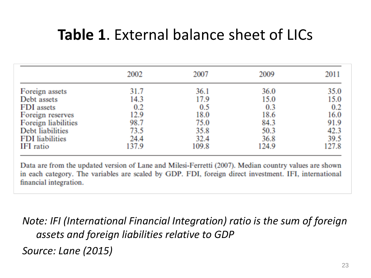#### **Table 1**. External balance sheet of LICs

|                        | 2002  | 2007  | 2009  | 2011  |
|------------------------|-------|-------|-------|-------|
| Foreign assets         | 31.7  | 36.1  | 36.0  | 35.0  |
| Debt assets            | 14.3  | 17.9  | 15.0  | 15.0  |
| FDI assets             | 0.2   | 0.5   | 0.3   | 0.2   |
| Foreign reserves       | 12.9  | 18.0  | 18.6  | 16.0  |
| Foreign liabilities    | 98.7  | 75.0  | 84.3  | 91.9  |
| Debt liabilities       | 73.5  | 35.8  | 50.3  | 42.3  |
| <b>FDI</b> liabilities | 24.4  | 32.4  | 36.8  | 39.5  |
| IFI ratio              | 137.9 | 109.8 | 124.9 | 127.8 |

Data are from the updated version of Lane and Milesi-Ferretti (2007). Median country values are shown in each category. The variables are scaled by GDP. FDI, foreign direct investment. IFI, international financial integration.

*Note: IFI (International Financial Integration) ratio is the sum of foreign assets and foreign liabilities relative to GDP Source: Lane (2015)*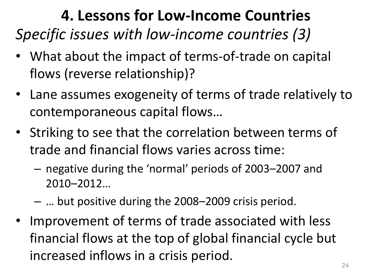## **4. Lessons for Low-Income Countries** *Specific issues with low-income countries (3)*

- What about the impact of terms-of-trade on capital flows (reverse relationship)?
- Lane assumes exogeneity of terms of trade relatively to contemporaneous capital flows…
- Striking to see that the correlation between terms of trade and financial flows varies across time:
	- negative during the 'normal' periods of 2003–2007 and 2010–2012…
	- … but positive during the 2008–2009 crisis period.
- Improvement of terms of trade associated with less financial flows at the top of global financial cycle but increased inflows in a crisis period.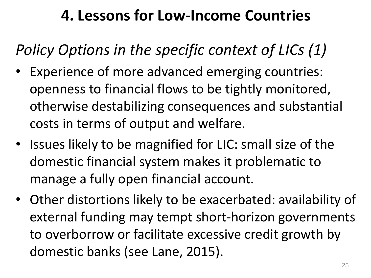*Policy Options in the specific context of LICs (1)*

- Experience of more advanced emerging countries: openness to financial flows to be tightly monitored, otherwise destabilizing consequences and substantial costs in terms of output and welfare.
- Issues likely to be magnified for LIC: small size of the domestic financial system makes it problematic to manage a fully open financial account.
- Other distortions likely to be exacerbated: availability of external funding may tempt short-horizon governments to overborrow or facilitate excessive credit growth by domestic banks (see Lane, 2015).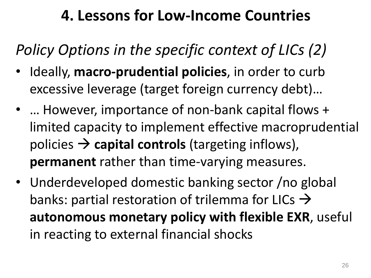*Policy Options in the specific context of LICs (2)*

- Ideally, **macro-prudential policies**, in order to curb excessive leverage (target foreign currency debt)…
- ... However, importance of non-bank capital flows + limited capacity to implement effective macroprudential policies  $\rightarrow$  capital controls (targeting inflows), **permanent** rather than time-varying measures.
- Underdeveloped domestic banking sector /no global banks: partial restoration of trilemma for LICs  $\rightarrow$ **autonomous monetary policy with flexible EXR**, useful in reacting to external financial shocks